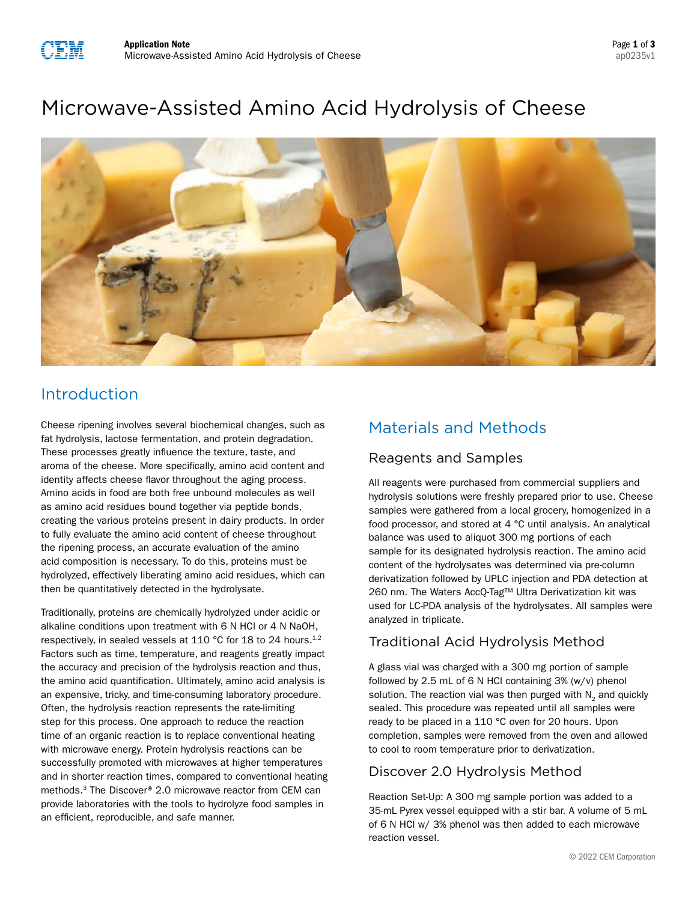# Microwave-Assisted Amino Acid Hydrolysis of Cheese



## Introduction

Cheese ripening involves several biochemical changes, such as fat hydrolysis, lactose fermentation, and protein degradation. These processes greatly influence the texture, taste, and aroma of the cheese. More specifically, amino acid content and identity affects cheese flavor throughout the aging process. Amino acids in food are both free unbound molecules as well as amino acid residues bound together via peptide bonds, creating the various proteins present in dairy products. In order to fully evaluate the amino acid content of cheese throughout the ripening process, an accurate evaluation of the amino acid composition is necessary. To do this, proteins must be hydrolyzed, effectively liberating amino acid residues, which can then be quantitatively detected in the hydrolysate.

Traditionally, proteins are chemically hydrolyzed under acidic or alkaline conditions upon treatment with 6 N HCl or 4 N NaOH, respectively, in sealed vessels at 110 °C for 18 to 24 hours.<sup>1,2</sup> Factors such as time, temperature, and reagents greatly impact the accuracy and precision of the hydrolysis reaction and thus, the amino acid quantification. Ultimately, amino acid analysis is an expensive, tricky, and time-consuming laboratory procedure. Often, the hydrolysis reaction represents the rate-limiting step for this process. One approach to reduce the reaction time of an organic reaction is to replace conventional heating with microwave energy. Protein hydrolysis reactions can be successfully promoted with microwaves at higher temperatures and in shorter reaction times, compared to conventional heating methods.3 The Discover® 2.0 microwave reactor from CEM can provide laboratories with the tools to hydrolyze food samples in an efficient, reproducible, and safe manner.

## Materials and Methods

### Reagents and Samples

All reagents were purchased from commercial suppliers and hydrolysis solutions were freshly prepared prior to use. Cheese samples were gathered from a local grocery, homogenized in a food processor, and stored at 4 °C until analysis. An analytical balance was used to aliquot 300 mg portions of each sample for its designated hydrolysis reaction. The amino acid content of the hydrolysates was determined via pre-column derivatization followed by UPLC injection and PDA detection at 260 nm. The Waters AccQ-Tag™ Ultra Derivatization kit was used for LC-PDA analysis of the hydrolysates. All samples were analyzed in triplicate.

## Traditional Acid Hydrolysis Method

A glass vial was charged with a 300 mg portion of sample followed by 2.5 mL of 6 N HCl containing 3% (w/v) phenol solution. The reaction vial was then purged with  $N<sub>2</sub>$  and quickly sealed. This procedure was repeated until all samples were ready to be placed in a 110 °C oven for 20 hours. Upon completion, samples were removed from the oven and allowed to cool to room temperature prior to derivatization.

### Discover 2.0 Hydrolysis Method

Reaction Set-Up: A 300 mg sample portion was added to a 35-mL Pyrex vessel equipped with a stir bar. A volume of 5 mL of 6 N HCl w/ 3% phenol was then added to each microwave reaction vessel.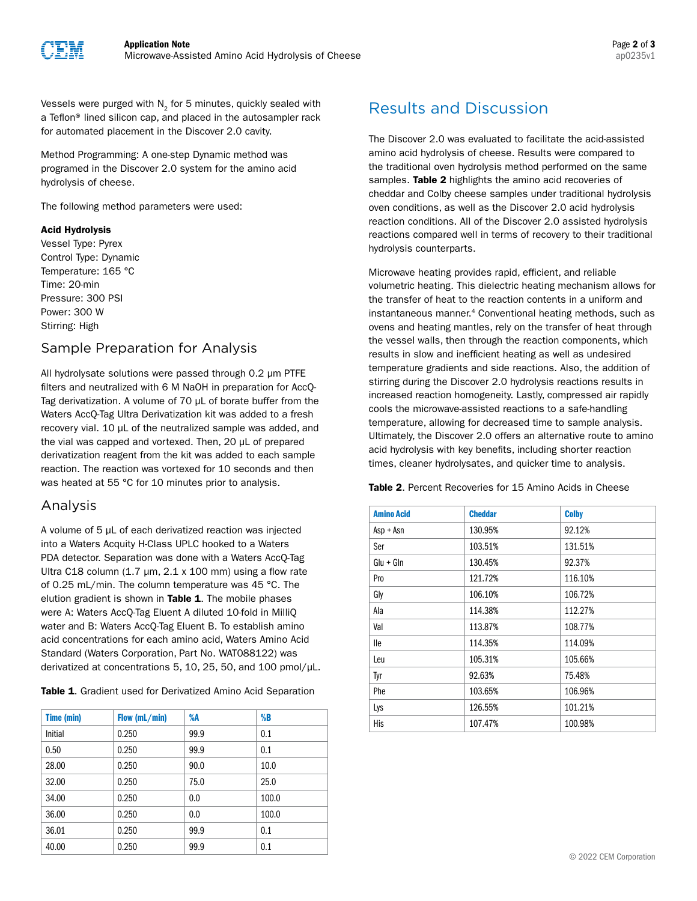

Vessels were purged with  $N<sub>2</sub>$  for 5 minutes, quickly sealed with a Teflon® lined silicon cap, and placed in the autosampler rack for automated placement in the Discover 2.0 cavity.

Method Programming: A one-step Dynamic method was programed in the Discover 2.0 system for the amino acid hydrolysis of cheese.

The following method parameters were used:

### Acid Hydrolysis

Vessel Type: Pyrex Control Type: Dynamic Temperature: 165 °C Time: 20-min Pressure: 300 PSI Power: 300 W Stirring: High

### Sample Preparation for Analysis

All hydrolysate solutions were passed through 0.2 µm PTFE filters and neutralized with 6 M NaOH in preparation for AccQ-Tag derivatization. A volume of 70 µL of borate buffer from the Waters AccQ-Tag Ultra Derivatization kit was added to a fresh recovery vial. 10 µL of the neutralized sample was added, and the vial was capped and vortexed. Then, 20 µL of prepared derivatization reagent from the kit was added to each sample reaction. The reaction was vortexed for 10 seconds and then was heated at 55 °C for 10 minutes prior to analysis.

### Analysis

A volume of 5 µL of each derivatized reaction was injected into a Waters Acquity H-Class UPLC hooked to a Waters PDA detector. Separation was done with a Waters AccQ-Tag Ultra C18 column  $(1.7 \mu m, 2.1 \times 100 \mu m)$  using a flow rate of 0.25 mL/min. The column temperature was 45 °C. The elution gradient is shown in Table 1. The mobile phases were A: Waters AccQ-Tag Eluent A diluted 10-fold in MilliQ water and B: Waters AccQ-Tag Eluent B. To establish amino acid concentrations for each amino acid, Waters Amino Acid Standard (Waters Corporation, Part No. WAT088122) was derivatized at concentrations 5, 10, 25, 50, and 100 pmol/µL.

Table 1. Gradient used for Derivatized Amino Acid Separation

| <b>Time (min)</b> | Flow (mL/min) | %A   | %B    |
|-------------------|---------------|------|-------|
| Initial           | 0.250         | 99.9 | 0.1   |
| 0.50              | 0.250         | 99.9 | 0.1   |
| 28.00             | 0.250         | 90.0 | 10.0  |
| 32.00             | 0.250         | 75.0 | 25.0  |
| 34.00             | 0.250         | 0.0  | 100.0 |
| 36.00             | 0.250         | 0.0  | 100.0 |
| 36.01             | 0.250         | 99.9 | 0.1   |
| 40.00             | 0.250         | 99.9 | 0.1   |

## Results and Discussion

The Discover 2.0 was evaluated to facilitate the acid-assisted amino acid hydrolysis of cheese. Results were compared to the traditional oven hydrolysis method performed on the same samples. Table 2 highlights the amino acid recoveries of cheddar and Colby cheese samples under traditional hydrolysis oven conditions, as well as the Discover 2.0 acid hydrolysis reaction conditions. All of the Discover 2.0 assisted hydrolysis reactions compared well in terms of recovery to their traditional hydrolysis counterparts.

Microwave heating provides rapid, efficient, and reliable volumetric heating. This dielectric heating mechanism allows for the transfer of heat to the reaction contents in a uniform and instantaneous manner.<sup>4</sup> Conventional heating methods, such as ovens and heating mantles, rely on the transfer of heat through the vessel walls, then through the reaction components, which results in slow and inefficient heating as well as undesired temperature gradients and side reactions. Also, the addition of stirring during the Discover 2.0 hydrolysis reactions results in increased reaction homogeneity. Lastly, compressed air rapidly cools the microwave-assisted reactions to a safe-handling temperature, allowing for decreased time to sample analysis. Ultimately, the Discover 2.0 offers an alternative route to amino acid hydrolysis with key benefits, including shorter reaction times, cleaner hydrolysates, and quicker time to analysis.

Table 2. Percent Recoveries for 15 Amino Acids in Cheese

| <b>Amino Acid</b> | <b>Cheddar</b> | <b>Colby</b> |
|-------------------|----------------|--------------|
| Asp + Asn         | 130.95%        | 92.12%       |
| Ser               | 103.51%        | 131.51%      |
| $Glu + Gln$       | 130.45%        | 92.37%       |
| Pro               | 121.72%        | 116.10%      |
| Gly               | 106.10%        | 106.72%      |
| Ala               | 114.38%        | 112.27%      |
| Val               | 113.87%        | 108.77%      |
| lle               | 114.35%        | 114.09%      |
| Leu               | 105.31%        | 105.66%      |
| Tyr               | 92.63%         | 75.48%       |
| Phe               | 103.65%        | 106.96%      |
| Lys               | 126.55%        | 101.21%      |
| His               | 107.47%        | 100.98%      |